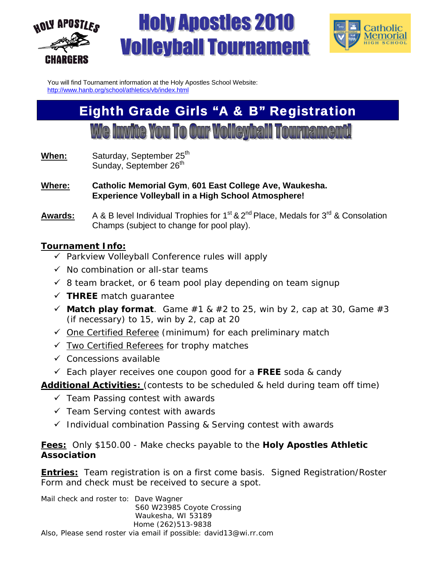



You will find Tournament information at the Holy Apostles School Website: http://www.hanb.org/school/athletics/vb/index.html

## Eighth Grade Girls "A & B" Registration

**We invite You To Our Volleyball Tourname** 

- **When:** Saturday, September 25<sup>th</sup> Sunday, September 26<sup>th</sup>
- **Where: Catholic Memorial Gym**, **601 East College Ave, Waukesha. Experience Volleyball in a High School Atmosphere!**
- Awards: A & B level Individual Trophies for 1<sup>st</sup> & 2<sup>nd</sup> Place, Medals for 3<sup>rd</sup> & Consolation Champs (subject to change for pool play).

#### **Tournament Info:**

- $\checkmark$  Parkview Volleyball Conference rules will apply
- $\checkmark$  No combination or all-star teams
- $\checkmark$  8 team bracket, or 6 team pool play depending on team signup
- **THREE** match guarantee
- $\checkmark$  **Match play format**. Game #1 & #2 to 25, win by 2, cap at 30, Game #3 (if necessary) to 15, win by 2, cap at 20
- $\checkmark$  One Certified Referee (minimum) for each preliminary match
- $\checkmark$  Two Certified Referees for trophy matches
- $\checkmark$  Concessions available
- Each player receives one coupon good for a **FREE** soda & candy

**Additional Activities:** (contests to be scheduled & held during team off time)

- $\checkmark$  Team Passing contest with awards
- $\checkmark$  Team Serving contest with awards
- $\checkmark$  Individual combination Passing & Serving contest with awards

**Fees:** Only \$150.00 - Make checks payable to the **Holy Apostles Athletic Association**

**Entries:** Team registration is on a first come basis. Signed Registration/Roster Form and check must be received to secure a spot.

Mail check and roster to: Dave Wagner S60 W23985 Coyote Crossing Waukesha, WI 53189 Home (262)513-9838 Also, Please send roster via email if possible: david13@wi.rr.com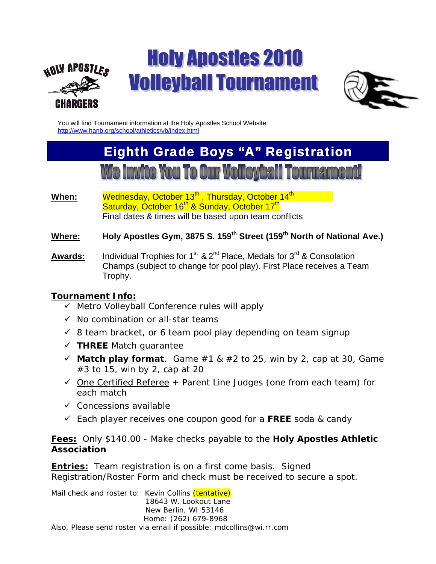



You will find Tournament information at the Holy Apostles School Website: http://www.hanb.org/school/athletics/vb/index.html

## Eighth Grade Boys "A" Registration

- When: Wednesday, October 13<sup>th</sup>, Thursday, October 14<sup>th</sup> Saturday, October 16<sup>th</sup> & Sunday, October 17<sup>th</sup> Final dates & times will be based upon team conflicts
- Where: Holy Apostles Gym, 3875 S. 159<sup>th</sup> Street (159<sup>th</sup> North of National Ave.)
- Awards: Individual Trophies for 1<sup>st</sup> & 2<sup>nd</sup> Place, Medals for 3<sup>rd</sup> & Consolation Champs (subject to change for pool play). First Place receives a Team Trophy.

#### **Tournament Info:**

- $\checkmark$  Metro Volleyball Conference rules will apply
- $\checkmark$  No combination or all-star teams
- $\checkmark$  8 team bracket, or 6 team pool play depending on team signup
- **THREE** Match guarantee
- $\checkmark$  **Match play format**. Game #1 & #2 to 25, win by 2, cap at 30, Game #3 to 15, win by 2, cap at 20
- $\checkmark$  One Certified Referee + Parent Line Judges (one from each team) for each match
- $\checkmark$  Concessions available
- Each player receives one coupon good for a **FREE** soda & candy

**Fees:** Only \$140.00 - Make checks payable to the **Holy Apostles Athletic Association**

**Entries:** Team registration is on a first come basis. Signed Registration/Roster Form and check must be received to secure a spot.

Mail check and roster to: Kevin Collins *(tentative)*  18643 W. Lookout Lane New Berlin, WI 53146 Home: (262) 679-8968 Also, Please send roster via email if possible: mdcollins@wi.rr.com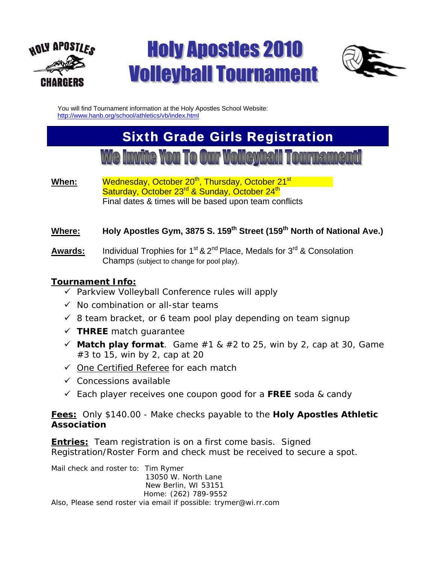



You will find Tournament information at the Holy Apostles School Website: http://www.hanb.org/school/athletics/vb/index.html

# Sixth Grade Girls Registration

When: Wednesday, October 20<sup>th</sup>, Thursday, October 21<sup>st</sup> Saturday, October 23<sup>rd</sup> & Sunday, October 24<sup>th</sup> Final dates & times will be based upon team conflicts

#### Where: Holy Apostles Gym, 3875 S. 159<sup>th</sup> Street (159<sup>th</sup> North of National Ave.)

Awards: Individual Trophies for 1<sup>st</sup> & 2<sup>nd</sup> Place, Medals for 3<sup>rd</sup> & Consolation Champs (subject to change for pool play).

#### **Tournament Info:**

- $\overline{v}$  Parkview Volleyball Conference rules will apply
- $\checkmark$  No combination or all-star teams
- $\checkmark$  8 team bracket, or 6 team pool play depending on team signup
- $\checkmark$  THREE match quarantee
- $\checkmark$  **Match play format**. Game #1 & #2 to 25, win by 2, cap at 30, Game #3 to 15, win by 2, cap at 20
- $\checkmark$  One Certified Referee for each match
- $\checkmark$  Concessions available
- Each player receives one coupon good for a **FREE** soda & candy

**Fees:** Only \$140.00 - Make checks payable to the **Holy Apostles Athletic Association**

**Entries:** Team registration is on a first come basis. Signed Registration/Roster Form and check must be received to secure a spot.

Mail check and roster to: Tim Rymer 13050 W. North Lane New Berlin, WI 53151 Home: (262) 789-9552 Also, Please send roster via email if possible: trymer@wi.rr.com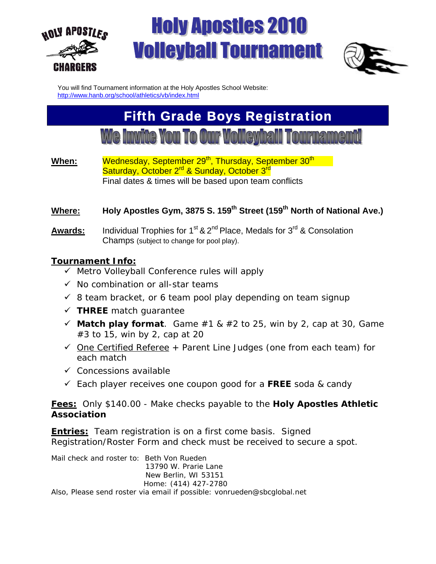



You will find Tournament information at the Holy Apostles School Website: http://www.hanb.org/school/athletics/vb/index.html

## Fifth Grade Boys Registration

### **We Invite You To Our Volleyball Tournament!**

**When:** Wednesday, September 29<sup>th</sup>, Thursday, September 30<sup>th</sup> Saturday, October 2<sup>rd</sup> & Sunday, October 3<sup>rd</sup> Final dates & times will be based upon team conflicts

#### Where: Holy Apostles Gym, 3875 S. 159<sup>th</sup> Street (159<sup>th</sup> North of National Ave.)

Awards: Individual Trophies for 1<sup>st</sup> & 2<sup>nd</sup> Place, Medals for 3<sup>rd</sup> & Consolation Champs (subject to change for pool play).

#### **Tournament Info:**

- $\checkmark$  Metro Volleyball Conference rules will apply
- $\checkmark$  No combination or all-star teams
- $\checkmark$  8 team bracket, or 6 team pool play depending on team signup
- **THREE** match guarantee
- $\checkmark$  **Match play format**. Game #1 & #2 to 25, win by 2, cap at 30, Game #3 to 15, win by 2, cap at 20
- $\checkmark$  One Certified Referee + Parent Line Judges (one from each team) for each match
- $\checkmark$  Concessions available
- Each player receives one coupon good for a **FREE** soda & candy

#### **Fees:** Only \$140.00 - Make checks payable to the **Holy Apostles Athletic Association**

**Entries:** Team registration is on a first come basis. Signed Registration/Roster Form and check must be received to secure a spot.

Mail check and roster to: Beth Von Rueden 13790 W. Prarie Lane New Berlin, WI 53151 Home: (414) 427-2780 Also, Please send roster via email if possible: vonrueden@sbcglobal.net